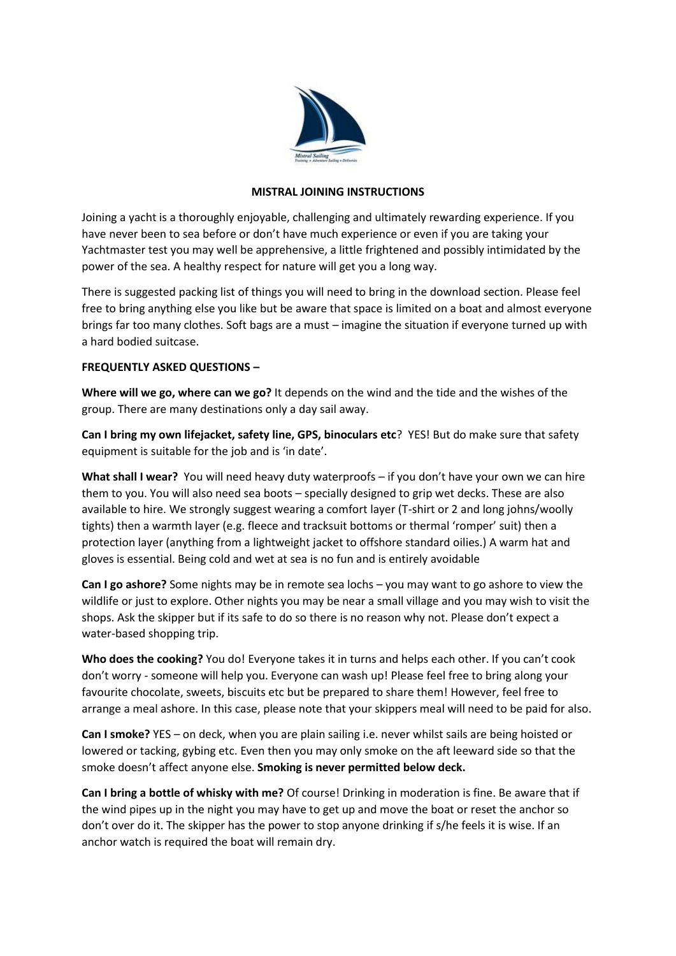

## **MISTRAL JOINING INSTRUCTIONS**

Joining a yacht is a thoroughly enjoyable, challenging and ultimately rewarding experience. If you have never been to sea before or don't have much experience or even if you are taking your Yachtmaster test you may well be apprehensive, a little frightened and possibly intimidated by the power of the sea. A healthy respect for nature will get you a long way.

There is suggested packing list of things you will need to bring in the download section. Please feel free to bring anything else you like but be aware that space is limited on a boat and almost everyone brings far too many clothes. Soft bags are a must – imagine the situation if everyone turned up with a hard bodied suitcase.

## **FREQUENTLY ASKED QUESTIONS –**

**Where will we go, where can we go?** It depends on the wind and the tide and the wishes of the group. There are many destinations only a day sail away.

**Can I bring my own lifejacket, safety line, GPS, binoculars etc**? YES! But do make sure that safety equipment is suitable for the job and is 'in date'.

**What shall I wear?** You will need heavy duty waterproofs – if you don't have your own we can hire them to you. You will also need sea boots – specially designed to grip wet decks. These are also available to hire. We strongly suggest wearing a comfort layer (T-shirt or 2 and long johns/woolly tights) then a warmth layer (e.g. fleece and tracksuit bottoms or thermal 'romper' suit) then a protection layer (anything from a lightweight jacket to offshore standard oilies.) A warm hat and gloves is essential. Being cold and wet at sea is no fun and is entirely avoidable

**Can I go ashore?** Some nights may be in remote sea lochs – you may want to go ashore to view the wildlife or just to explore. Other nights you may be near a small village and you may wish to visit the shops. Ask the skipper but if its safe to do so there is no reason why not. Please don't expect a water-based shopping trip.

**Who does the cooking?** You do! Everyone takes it in turns and helps each other. If you can't cook don't worry - someone will help you. Everyone can wash up! Please feel free to bring along your favourite chocolate, sweets, biscuits etc but be prepared to share them! However, feel free to arrange a meal ashore. In this case, please note that your skippers meal will need to be paid for also.

**Can I smoke?** YES – on deck, when you are plain sailing i.e. never whilst sails are being hoisted or lowered or tacking, gybing etc. Even then you may only smoke on the aft leeward side so that the smoke doesn't affect anyone else. **Smoking is never permitted below deck.**

**Can I bring a bottle of whisky with me?** Of course! Drinking in moderation is fine. Be aware that if the wind pipes up in the night you may have to get up and move the boat or reset the anchor so don't over do it. The skipper has the power to stop anyone drinking if s/he feels it is wise. If an anchor watch is required the boat will remain dry.